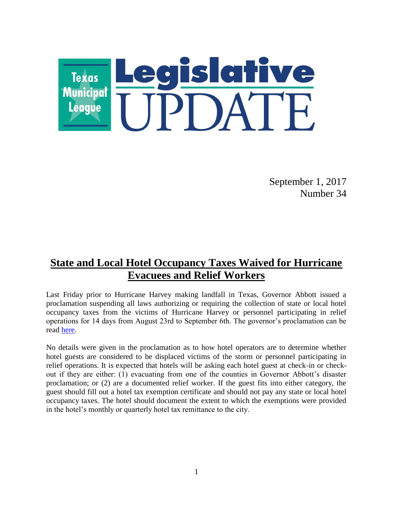

September 1, 2017 Number 34

## **State and Local Hotel Occupancy Taxes Waived for Hurricane Evacuees and Relief Workers**

Last Friday prior to Hurricane Harvey making landfall in Texas, Governor Abbott issued a proclamation suspending all laws authorizing or requiring the collection of state or local hotel occupancy taxes from the victims of Hurricane Harvey or personnel participating in relief operations for 14 days from August 23rd to September 6th. The governor's proclamation can be read [here.](https://gov.texas.gov/uploads/files/press/HotelMotelTaxHurricaneHarvey_08252017.pdf)

No details were given in the proclamation as to how hotel operators are to determine whether hotel guests are considered to be displaced victims of the storm or personnel participating in relief operations. It is expected that hotels will be asking each hotel guest at check-in or checkout if they are either: (1) evacuating from one of the counties in Governor Abbott's disaster proclamation; or (2) are a documented relief worker. If the guest fits into either category, the guest should fill out a hotel tax exemption certificate and should not pay any state or local hotel occupancy taxes. The hotel should document the extent to which the exemptions were provided in the hotel's monthly or quarterly hotel tax remittance to the city.